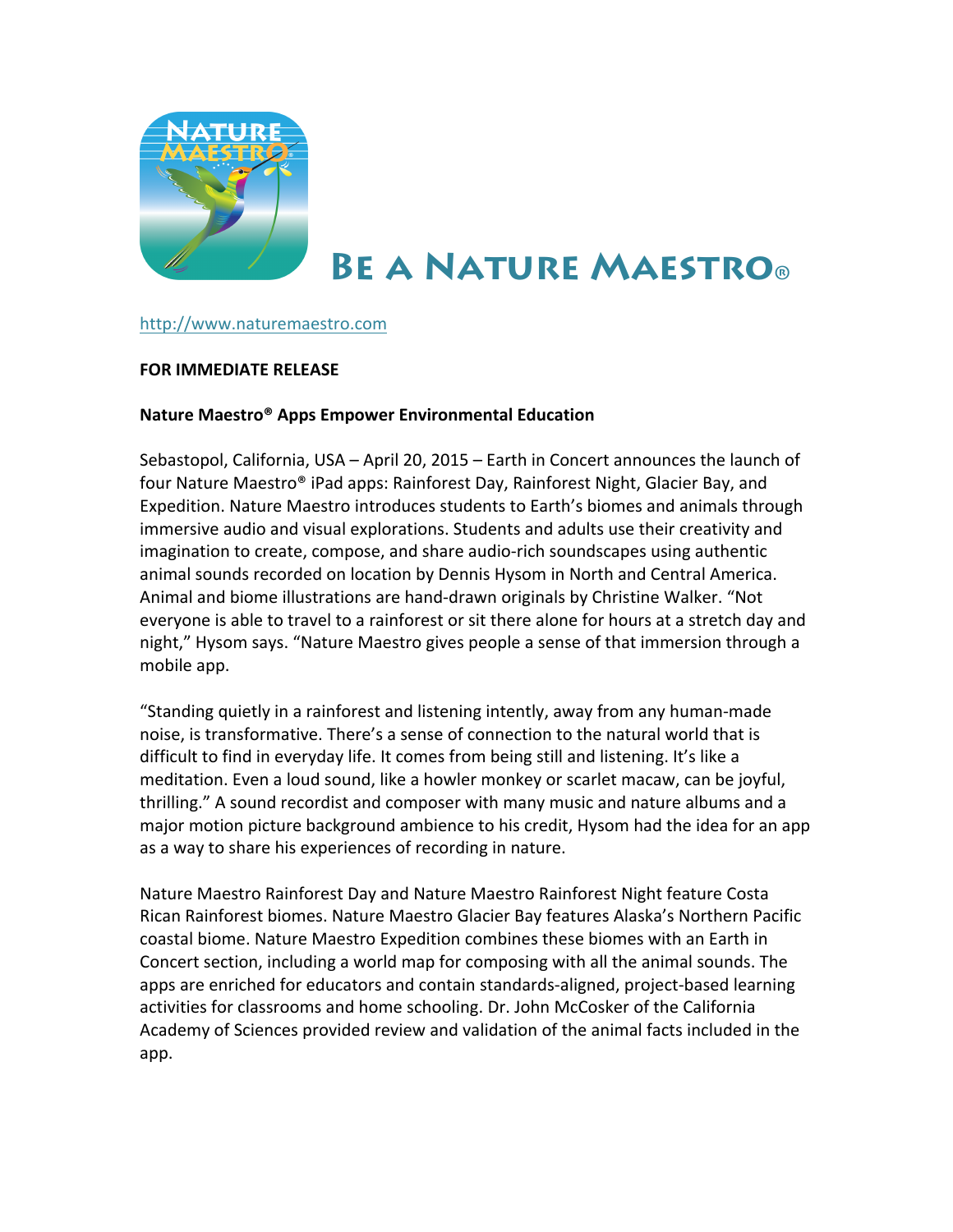

# **BE A NATURE MAESTRO®**

## http://www.naturemaestro.com

## **FOR IMMEDIATE RELEASE**

## **Nature Maestro® Apps Empower Environmental Education**

Sebastopol, California, USA – April 20, 2015 – Earth in Concert announces the launch of four Nature Maestro® iPad apps: Rainforest Day, Rainforest Night, Glacier Bay, and Expedition. Nature Maestro introduces students to Earth's biomes and animals through immersive audio and visual explorations. Students and adults use their creativity and imagination to create, compose, and share audio-rich soundscapes using authentic animal sounds recorded on location by Dennis Hysom in North and Central America. Animal and biome illustrations are hand-drawn originals by Christine Walker. "Not everyone is able to travel to a rainforest or sit there alone for hours at a stretch day and night," Hysom says. "Nature Maestro gives people a sense of that immersion through a mobile app.

"Standing quietly in a rainforest and listening intently, away from any human-made noise, is transformative. There's a sense of connection to the natural world that is difficult to find in everyday life. It comes from being still and listening. It's like a meditation. Even a loud sound, like a howler monkey or scarlet macaw, can be joyful, thrilling." A sound recordist and composer with many music and nature albums and a major motion picture background ambience to his credit, Hysom had the idea for an app as a way to share his experiences of recording in nature.

Nature Maestro Rainforest Day and Nature Maestro Rainforest Night feature Costa Rican Rainforest biomes. Nature Maestro Glacier Bay features Alaska's Northern Pacific coastal biome. Nature Maestro Expedition combines these biomes with an Earth in Concert section, including a world map for composing with all the animal sounds. The apps are enriched for educators and contain standards-aligned, project-based learning activities for classrooms and home schooling. Dr. John McCosker of the California Academy of Sciences provided review and validation of the animal facts included in the app.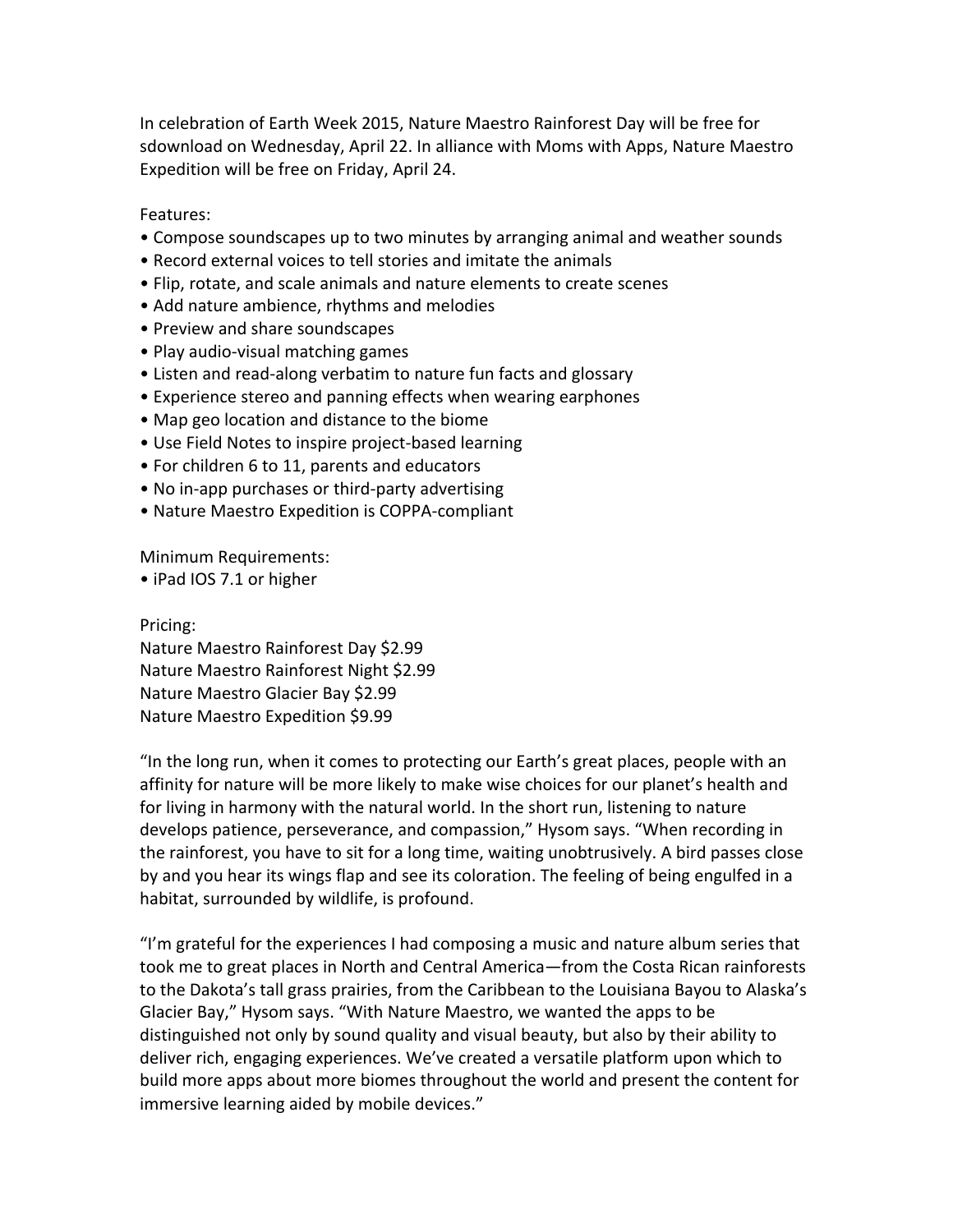In celebration of Earth Week 2015, Nature Maestro Rainforest Day will be free for sdownload on Wednesday, April 22. In alliance with Moms with Apps, Nature Maestro Expedition will be free on Friday, April 24.

Features:

- Compose soundscapes up to two minutes by arranging animal and weather sounds
- Record external voices to tell stories and imitate the animals
- Flip, rotate, and scale animals and nature elements to create scenes
- Add nature ambience, rhythms and melodies
- Preview and share soundscapes
- Play audio-visual matching games
- Listen and read-along verbatim to nature fun facts and glossary
- Experience stereo and panning effects when wearing earphones
- Map geo location and distance to the biome
- Use Field Notes to inspire project-based learning
- For children 6 to 11, parents and educators
- No in-app purchases or third-party advertising
- Nature Maestro Expedition is COPPA-compliant

Minimum Requirements:

• iPad IOS 7.1 or higher

Pricing:

Nature Maestro Rainforest Day \$2.99 Nature Maestro Rainforest Night \$2.99 Nature Maestro Glacier Bay \$2.99 Nature Maestro Expedition \$9.99

"In the long run, when it comes to protecting our Earth's great places, people with an affinity for nature will be more likely to make wise choices for our planet's health and for living in harmony with the natural world. In the short run, listening to nature develops patience, perseverance, and compassion," Hysom says. "When recording in the rainforest, you have to sit for a long time, waiting unobtrusively. A bird passes close by and you hear its wings flap and see its coloration. The feeling of being engulfed in a habitat, surrounded by wildlife, is profound.

"I'm grateful for the experiences I had composing a music and nature album series that took me to great places in North and Central America—from the Costa Rican rainforests to the Dakota's tall grass prairies, from the Caribbean to the Louisiana Bayou to Alaska's Glacier Bay," Hysom says. "With Nature Maestro, we wanted the apps to be distinguished not only by sound quality and visual beauty, but also by their ability to deliver rich, engaging experiences. We've created a versatile platform upon which to build more apps about more biomes throughout the world and present the content for immersive learning aided by mobile devices."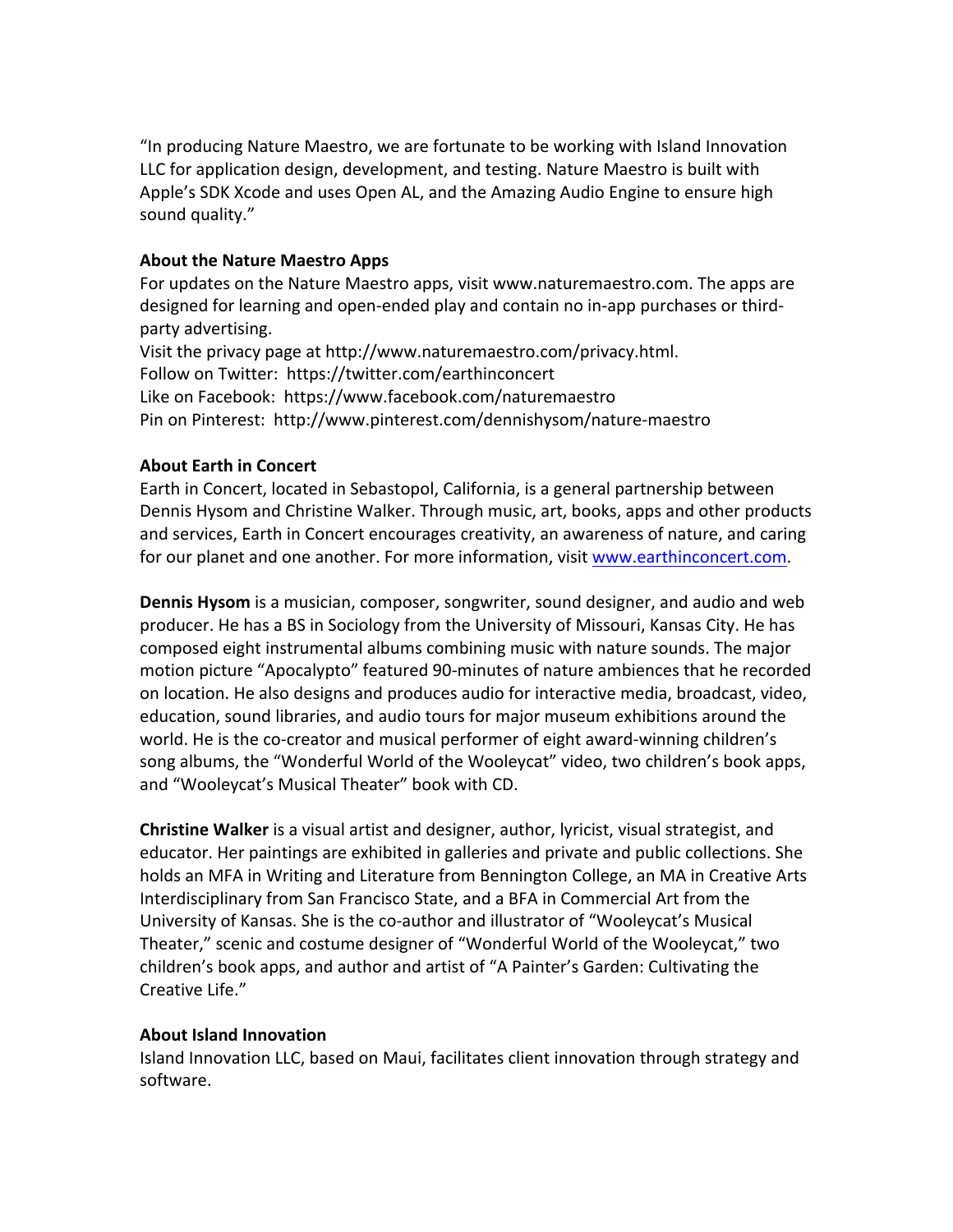"In producing Nature Maestro, we are fortunate to be working with Island Innovation LLC for application design, development, and testing. Nature Maestro is built with Apple's SDK Xcode and uses Open AL, and the Amazing Audio Engine to ensure high sound quality."

## **About the Nature Maestro Apps**

For updates on the Nature Maestro apps, visit www.naturemaestro.com. The apps are designed for learning and open-ended play and contain no in-app purchases or thirdparty advertising.

Visit the privacy page at http://www.naturemaestro.com/privacy.html. Follow on Twitter: https://twitter.com/earthinconcert Like on Facebook: https://www.facebook.com/naturemaestro Pin on Pinterest: http://www.pinterest.com/dennishysom/nature-maestro

## **About Farth in Concert**

Earth in Concert, located in Sebastopol, California, is a general partnership between Dennis Hysom and Christine Walker. Through music, art, books, apps and other products and services, Earth in Concert encourages creativity, an awareness of nature, and caring for our planet and one another. For more information, visit www.earthinconcert.com.

**Dennis Hysom** is a musician, composer, songwriter, sound designer, and audio and web producer. He has a BS in Sociology from the University of Missouri, Kansas City. He has composed eight instrumental albums combining music with nature sounds. The major motion picture "Apocalypto" featured 90-minutes of nature ambiences that he recorded on location. He also designs and produces audio for interactive media, broadcast, video, education, sound libraries, and audio tours for major museum exhibitions around the world. He is the co-creator and musical performer of eight award-winning children's song albums, the "Wonderful World of the Wooleycat" video, two children's book apps, and "Wooleycat's Musical Theater" book with CD.

**Christine Walker** is a visual artist and designer, author, lyricist, visual strategist, and educator. Her paintings are exhibited in galleries and private and public collections. She holds an MFA in Writing and Literature from Bennington College, an MA in Creative Arts Interdisciplinary from San Francisco State, and a BFA in Commercial Art from the University of Kansas. She is the co-author and illustrator of "Wooleycat's Musical Theater," scenic and costume designer of "Wonderful World of the Wooleycat," two children's book apps, and author and artist of "A Painter's Garden: Cultivating the Creative Life."

## **About Island Innovation**

Island Innovation LLC, based on Maui, facilitates client innovation through strategy and software.